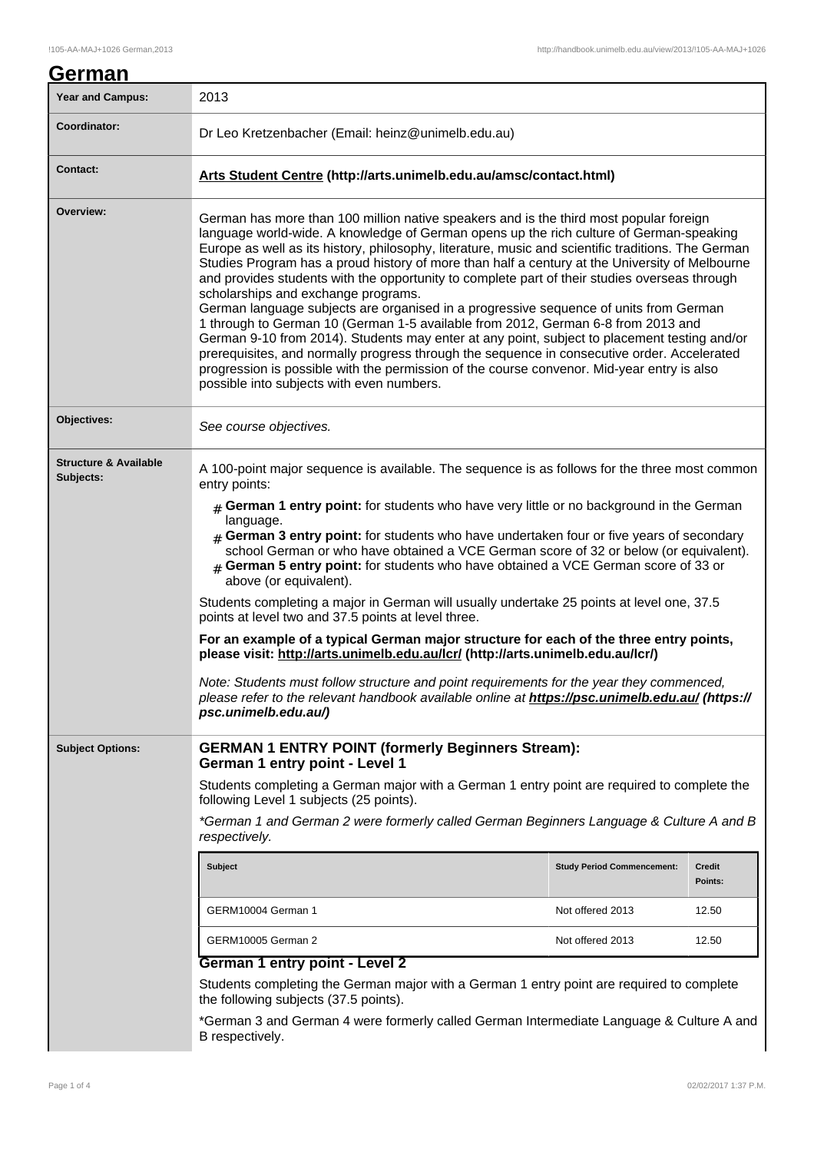| German                                        |                                                                                                                                                                                                                                                                                                                                                                                                                                                                                                                                                                                                                                                                                                                                                                                                                                                                                                                                                                                                                                                                                            |                   |  |
|-----------------------------------------------|--------------------------------------------------------------------------------------------------------------------------------------------------------------------------------------------------------------------------------------------------------------------------------------------------------------------------------------------------------------------------------------------------------------------------------------------------------------------------------------------------------------------------------------------------------------------------------------------------------------------------------------------------------------------------------------------------------------------------------------------------------------------------------------------------------------------------------------------------------------------------------------------------------------------------------------------------------------------------------------------------------------------------------------------------------------------------------------------|-------------------|--|
| <b>Year and Campus:</b>                       | 2013                                                                                                                                                                                                                                                                                                                                                                                                                                                                                                                                                                                                                                                                                                                                                                                                                                                                                                                                                                                                                                                                                       |                   |  |
| Coordinator:                                  | Dr Leo Kretzenbacher (Email: heinz@unimelb.edu.au)                                                                                                                                                                                                                                                                                                                                                                                                                                                                                                                                                                                                                                                                                                                                                                                                                                                                                                                                                                                                                                         |                   |  |
| <b>Contact:</b>                               | Arts Student Centre (http://arts.unimelb.edu.au/amsc/contact.html)                                                                                                                                                                                                                                                                                                                                                                                                                                                                                                                                                                                                                                                                                                                                                                                                                                                                                                                                                                                                                         |                   |  |
| Overview:                                     | German has more than 100 million native speakers and is the third most popular foreign<br>language world-wide. A knowledge of German opens up the rich culture of German-speaking<br>Europe as well as its history, philosophy, literature, music and scientific traditions. The German<br>Studies Program has a proud history of more than half a century at the University of Melbourne<br>and provides students with the opportunity to complete part of their studies overseas through<br>scholarships and exchange programs.<br>German language subjects are organised in a progressive sequence of units from German<br>1 through to German 10 (German 1-5 available from 2012, German 6-8 from 2013 and<br>German 9-10 from 2014). Students may enter at any point, subject to placement testing and/or<br>prerequisites, and normally progress through the sequence in consecutive order. Accelerated<br>progression is possible with the permission of the course convenor. Mid-year entry is also<br>possible into subjects with even numbers.                                   |                   |  |
| Objectives:                                   | See course objectives.                                                                                                                                                                                                                                                                                                                                                                                                                                                                                                                                                                                                                                                                                                                                                                                                                                                                                                                                                                                                                                                                     |                   |  |
| <b>Structure &amp; Available</b><br>Subjects: | A 100-point major sequence is available. The sequence is as follows for the three most common<br>entry points:<br>$#$ German 1 entry point: for students who have very little or no background in the German<br>language.<br>$#$ German 3 entry point: for students who have undertaken four or five years of secondary<br>school German or who have obtained a VCE German score of 32 or below (or equivalent).<br>$#$ German 5 entry point: for students who have obtained a VCE German score of 33 or<br>above (or equivalent).<br>Students completing a major in German will usually undertake 25 points at level one, 37.5<br>points at level two and 37.5 points at level three.<br>For an example of a typical German major structure for each of the three entry points,<br>please visit: http://arts.unimelb.edu.au/lcr/ (http://arts.unimelb.edu.au/lcr/)<br>Note: Students must follow structure and point requirements for the year they commenced,<br>please refer to the relevant handbook available online at https://psc.unimelb.edu.au/ (https://<br>psc.unimelb.edu.au/) |                   |  |
| <b>Subject Options:</b>                       | <b>GERMAN 1 ENTRY POINT (formerly Beginners Stream):</b><br>German 1 entry point - Level 1<br>Students completing a German major with a German 1 entry point are required to complete the<br>following Level 1 subjects (25 points).<br>*German 1 and German 2 were formerly called German Beginners Language & Culture A and B<br>respectively.                                                                                                                                                                                                                                                                                                                                                                                                                                                                                                                                                                                                                                                                                                                                           |                   |  |
|                                               | <b>Subject</b><br><b>Study Period Commencement:</b>                                                                                                                                                                                                                                                                                                                                                                                                                                                                                                                                                                                                                                                                                                                                                                                                                                                                                                                                                                                                                                        | Credit<br>Points: |  |
|                                               | GERM10004 German 1<br>Not offered 2013                                                                                                                                                                                                                                                                                                                                                                                                                                                                                                                                                                                                                                                                                                                                                                                                                                                                                                                                                                                                                                                     | 12.50             |  |
|                                               | GERM10005 German 2<br>Not offered 2013                                                                                                                                                                                                                                                                                                                                                                                                                                                                                                                                                                                                                                                                                                                                                                                                                                                                                                                                                                                                                                                     | 12.50             |  |
|                                               | German 1 entry point - Level 2                                                                                                                                                                                                                                                                                                                                                                                                                                                                                                                                                                                                                                                                                                                                                                                                                                                                                                                                                                                                                                                             |                   |  |
|                                               | Students completing the German major with a German 1 entry point are required to complete<br>the following subjects (37.5 points).<br>*German 3 and German 4 were formerly called German Intermediate Language & Culture A and                                                                                                                                                                                                                                                                                                                                                                                                                                                                                                                                                                                                                                                                                                                                                                                                                                                             |                   |  |
|                                               | B respectively.                                                                                                                                                                                                                                                                                                                                                                                                                                                                                                                                                                                                                                                                                                                                                                                                                                                                                                                                                                                                                                                                            |                   |  |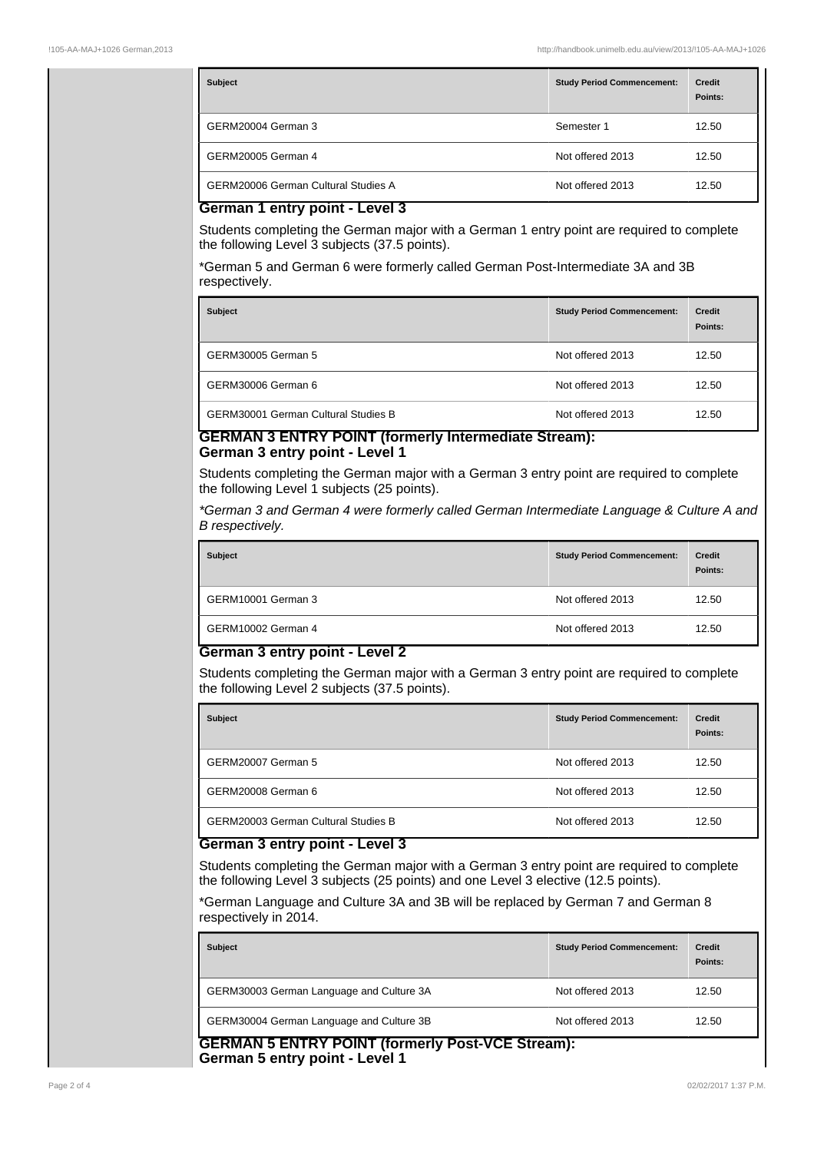| <b>Subject</b>                             | <b>Study Period Commencement:</b> | <b>Credit</b><br>Points: |
|--------------------------------------------|-----------------------------------|--------------------------|
| GERM20004 German 3                         | Semester 1                        | 12.50                    |
| <b>GERM20005 German 4</b>                  | Not offered 2013                  | 12.50                    |
| <b>GERM20006 German Cultural Studies A</b> | Not offered 2013                  | 12.50                    |

# **German 1 entry point - Level 3**

Students completing the German major with a German 1 entry point are required to complete the following Level 3 subjects (37.5 points).

\*German 5 and German 6 were formerly called German Post-Intermediate 3A and 3B respectively.

| <b>Subject</b>                             | <b>Study Period Commencement:</b> | <b>Credit</b><br>Points: |
|--------------------------------------------|-----------------------------------|--------------------------|
| GERM30005 German 5                         | Not offered 2013                  | 12.50                    |
| GERM30006 German 6                         | Not offered 2013                  | 12.50                    |
| <b>GERM30001 German Cultural Studies B</b> | Not offered 2013                  | 12.50                    |

# **GERMAN 3 ENTRY POINT (formerly Intermediate Stream): German 3 entry point - Level 1**

Students completing the German major with a German 3 entry point are required to complete the following Level 1 subjects (25 points).

\*German 3 and German 4 were formerly called German Intermediate Language & Culture A and B respectively.

| <b>Subject</b>     | <b>Study Period Commencement:</b> |       |
|--------------------|-----------------------------------|-------|
| GERM10001 German 3 | Not offered 2013                  | 12.50 |
| GERM10002 German 4 | Not offered 2013                  | 12.50 |

### **German 3 entry point - Level 2**

Students completing the German major with a German 3 entry point are required to complete the following Level 2 subjects (37.5 points).

| <b>Subject</b>                             | <b>Study Period Commencement:</b> | <b>Credit</b><br>Points: |
|--------------------------------------------|-----------------------------------|--------------------------|
| GERM20007 German 5                         | Not offered 2013                  | 12.50                    |
| GERM20008 German 6                         | Not offered 2013                  | 12.50                    |
| <b>GERM20003 German Cultural Studies B</b> | Not offered 2013                  | 12.50                    |

# **German 3 entry point - Level 3**

Students completing the German major with a German 3 entry point are required to complete the following Level 3 subjects (25 points) and one Level 3 elective (12.5 points).

\*German Language and Culture 3A and 3B will be replaced by German 7 and German 8 respectively in 2014.

| <b>Study Period Commencement:</b> | <b>Credit</b><br>Points:                               |
|-----------------------------------|--------------------------------------------------------|
| Not offered 2013                  | 12.50                                                  |
| Not offered 2013                  | 12.50                                                  |
|                                   | CEDMAN E ENTRY DOINT <i>(formarly Doof VCE Ctroom)</i> |

**GERMAN 5 ENTRY POINT (formerly Post-VCE Stream): German 5 entry point - Level 1**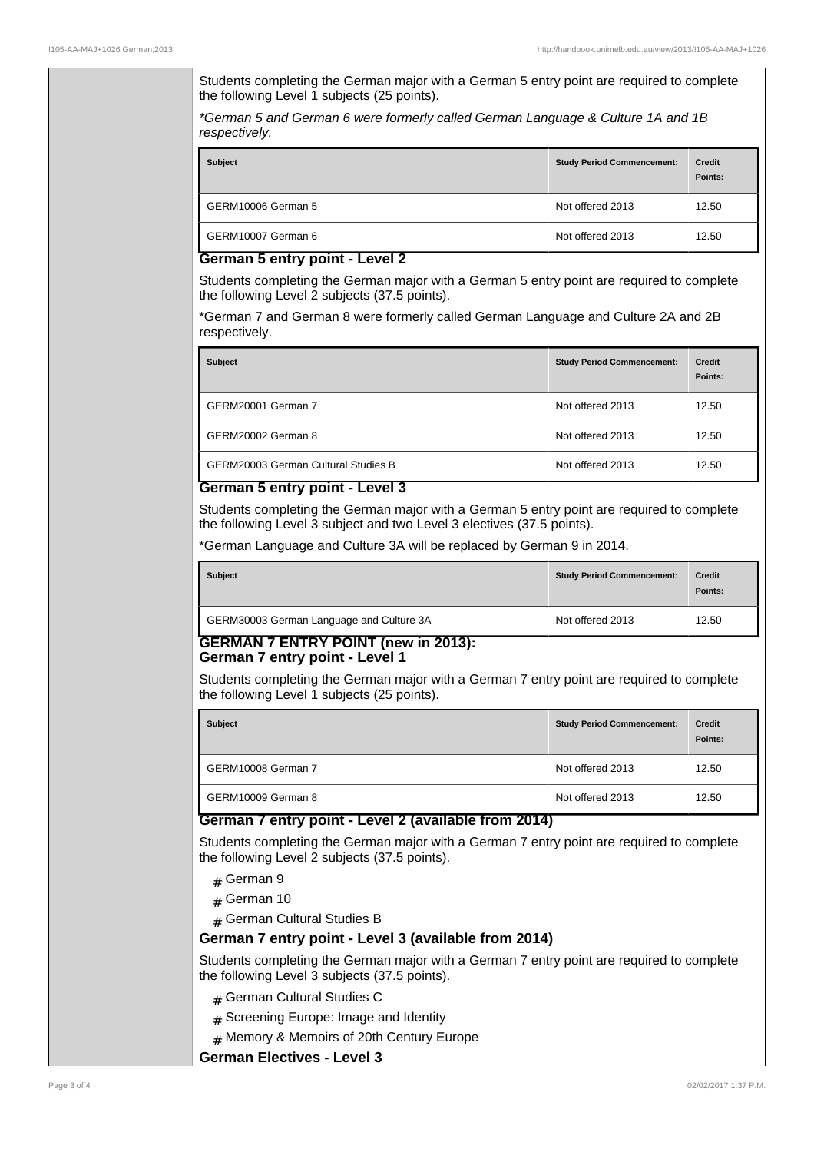Students completing the German major with a German 5 entry point are required to complete the following Level 1 subjects (25 points).

\*German 5 and German 6 were formerly called German Language & Culture 1A and 1B respectively.

| <b>Subject</b>                 | <b>Study Period Commencement:</b> | <b>Credit</b><br>Points: |
|--------------------------------|-----------------------------------|--------------------------|
| GERM10006 German 5             | Not offered 2013                  | 12.50                    |
| GERM10007 German 6<br>-<br>. . | Not offered 2013                  | 12.50                    |

#### **German 5 entry point - Level 2**

Students completing the German major with a German 5 entry point are required to complete the following Level 2 subjects (37.5 points).

\*German 7 and German 8 were formerly called German Language and Culture 2A and 2B respectively.

| <b>Subject</b>                             | <b>Study Period Commencement:</b> | <b>Credit</b><br>Points: |
|--------------------------------------------|-----------------------------------|--------------------------|
| GERM20001 German 7                         | Not offered 2013                  | 12.50                    |
| GERM20002 German 8                         | Not offered 2013                  | 12.50                    |
| <b>GERM20003 German Cultural Studies B</b> | Not offered 2013                  | 12.50                    |

### **German 5 entry point - Level 3**

Students completing the German major with a German 5 entry point are required to complete the following Level 3 subject and two Level 3 electives (37.5 points).

\*German Language and Culture 3A will be replaced by German 9 in 2014.

| <b>Subject</b>                           | <b>Study Period Commencement:</b> | <b>Credit</b><br>Points: |
|------------------------------------------|-----------------------------------|--------------------------|
| GERM30003 German Language and Culture 3A | Not offered 2013                  | 12.50                    |

# **GERMAN 7 ENTRY POINT (new in 2013): German 7 entry point - Level 1**

Students completing the German major with a German 7 entry point are required to complete the following Level 1 subjects (25 points).

| <b>Subject</b>     | <b>Study Period Commencement:</b> | <b>Credit</b><br>Points: |
|--------------------|-----------------------------------|--------------------------|
| GERM10008 German 7 | Not offered 2013                  | 12.50                    |
| GERM10009 German 8 | Not offered 2013                  | 12.50                    |

### **German 7 entry point - Level 2 (available from 2014)**

Students completing the German major with a German 7 entry point are required to complete the following Level 2 subjects (37.5 points).

- $#$  German 9
- $#$  German 10
- # German Cultural Studies B

# **German 7 entry point - Level 3 (available from 2014)**

Students completing the German major with a German 7 entry point are required to complete the following Level 3 subjects (37.5 points).

- # German Cultural Studies C
- $#$  Screening Europe: Image and Identity
- # Memory & Memoirs of 20th Century Europe

**German Electives - Level 3**